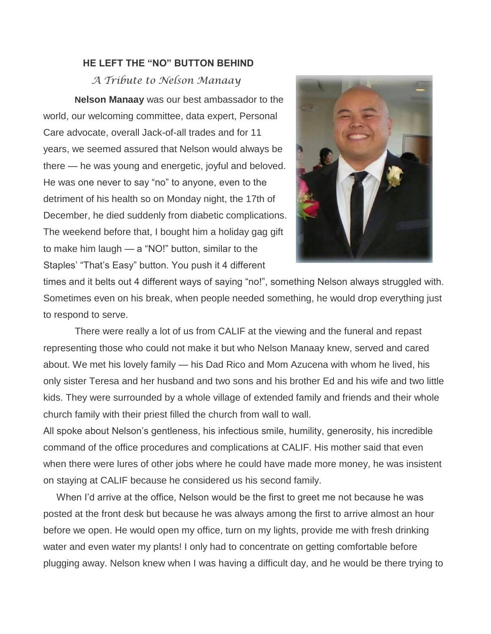## **HE LEFT THE "NO" BUTTON BEHIND**

*A Tribute to Nelson Manaay*

**Nelson Manaay** was our best ambassador to the world, our welcoming committee, data expert, Personal Care advocate, overall Jack-of-all trades and for 11 years, we seemed assured that Nelson would always be there — he was young and energetic, joyful and beloved. He was one never to say "no" to anyone, even to the detriment of his health so on Monday night, the 17th of December, he died suddenly from diabetic complications. The weekend before that, I bought him a holiday gag gift to make him laugh — a "NO!" button, similar to the Staples' "That's Easy" button. You push it 4 different



times and it belts out 4 different ways of saying "no!", something Nelson always struggled with. Sometimes even on his break, when people needed something, he would drop everything just to respond to serve.

There were really a lot of us from CALIF at the viewing and the funeral and repast representing those who could not make it but who Nelson Manaay knew, served and cared about. We met his lovely family — his Dad Rico and Mom Azucena with whom he lived, his only sister Teresa and her husband and two sons and his brother Ed and his wife and two little kids. They were surrounded by a whole village of extended family and friends and their whole church family with their priest filled the church from wall to wall.

All spoke about Nelson's gentleness, his infectious smile, humility, generosity, his incredible command of the office procedures and complications at CALIF. His mother said that even when there were lures of other jobs where he could have made more money, he was insistent on staying at CALIF because he considered us his second family.

When I'd arrive at the office, Nelson would be the first to greet me not because he was posted at the front desk but because he was always among the first to arrive almost an hour before we open. He would open my office, turn on my lights, provide me with fresh drinking water and even water my plants! I only had to concentrate on getting comfortable before plugging away. Nelson knew when I was having a difficult day, and he would be there trying to